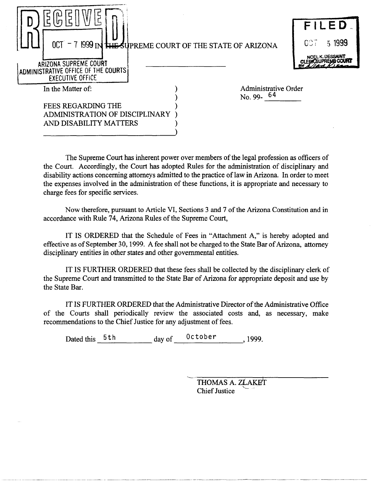|                                                                                                                           |                                      | FILED.                           |
|---------------------------------------------------------------------------------------------------------------------------|--------------------------------------|----------------------------------|
| 0CT - 7 1999 IN THE SUPREME COURT OF THE STATE OF ARIZONA<br>ARIZONA SUPREME COURT<br>ADMINISTRATIVE OFFICE OF THE COURTS |                                      | 51999<br>COT<br>NOEL K. DESSAINT |
| <b>EXECUTIVE OFFICE</b>                                                                                                   |                                      |                                  |
| In the Matter of:                                                                                                         | Administrative Order<br>No. 99- $64$ |                                  |
| <b>FEES REGARDING THE</b>                                                                                                 |                                      |                                  |
| ADMINISTRATION OF DISCIPLINARY                                                                                            |                                      |                                  |
| AND DISABILITY MATTERS                                                                                                    |                                      |                                  |

The Supreme Court has inherent power over members of the legal profession as officers of the Court. Accordingly, the Court has adopted Rules for the administration of disciplinary and disability actions concerning attorneys admitted to the practice of law in Arizona. In order to meet the expenses involved in the administration of these functions, it is appropriate and necessary to charge fees for specific services.

Now therefore, pursuant to Article VI, Sections 3 and 7 of the Arizona Constitution and in accordance with Rule 74, Arizona Rules of the Supreme Court,

IT IS ORDERED that the Schedule of Fees in "Attachment A," is hereby adopted and effective as of September 30,1999. A fee shall not be charged to the State Bar of Arizona, attorney disciplinary entities in other states and other governmental entities.

IT IS FURTHER ORDERED that these fees shall be collected by the disciplinary clerk of the Supreme Court and transmitted to the State Bar of Arizona for appropriate deposit and use by the State Bar.

IT IS FURTHER ORDERED that the Administrative Director of the Administrative Office of the Courts shall periodically review the associated costs and, as necessary, make recommendations to the Chief Justice for any adjustment of fees.

Dated this  $5th$   $day \text{ of }$   $0ctober$  , 1999.

THOMAS A. *ZLAKET* Chief Justice  $\overline{r}$